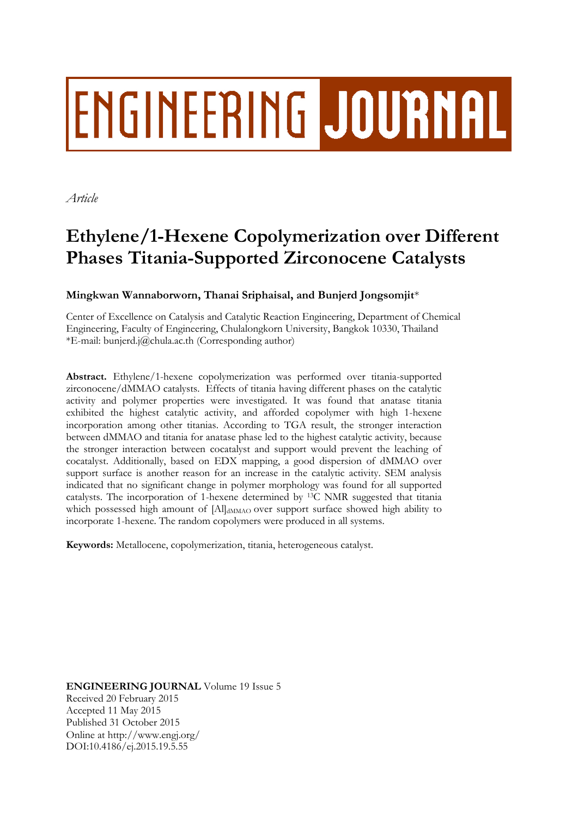# ENGINEERING JOURNAL

*Article*

# **Ethylene/1-Hexene Copolymerization over Different Phases Titania-Supported Zirconocene Catalysts**

# **Mingkwan Wannaborworn, Thanai Sriphaisal, and Bunjerd Jongsomjit**\*

Center of Excellence on Catalysis and Catalytic Reaction Engineering, Department of Chemical Engineering, Faculty of Engineering, Chulalongkorn University, Bangkok 10330, Thailand \*E-mail: bunjerd.j@chula.ac.th (Corresponding author)

**Abstract.** Ethylene/1-hexene copolymerization was performed over titania-supported zirconocene/dMMAO catalysts. Effects of titania having different phases on the catalytic activity and polymer properties were investigated. It was found that anatase titania exhibited the highest catalytic activity, and afforded copolymer with high 1-hexene incorporation among other titanias. According to TGA result, the stronger interaction between dMMAO and titania for anatase phase led to the highest catalytic activity, because the stronger interaction between cocatalyst and support would prevent the leaching of cocatalyst. Additionally, based on EDX mapping, a good dispersion of dMMAO over support surface is another reason for an increase in the catalytic activity. SEM analysis indicated that no significant change in polymer morphology was found for all supported catalysts. The incorporation of 1-hexene determined by 13C NMR suggested that titania which possessed high amount of [Al]<sub>dMMAO</sub> over support surface showed high ability to incorporate 1-hexene. The random copolymers were produced in all systems.

**Keywords:** Metallocene, copolymerization, titania, heterogeneous catalyst.

**ENGINEERING JOURNAL** Volume 19 Issue 5 Received 20 February 2015 Accepted 11 May 2015 Published 31 October 2015 Online at http://www.engj.org/ DOI:10.4186/ej.2015.19.5.55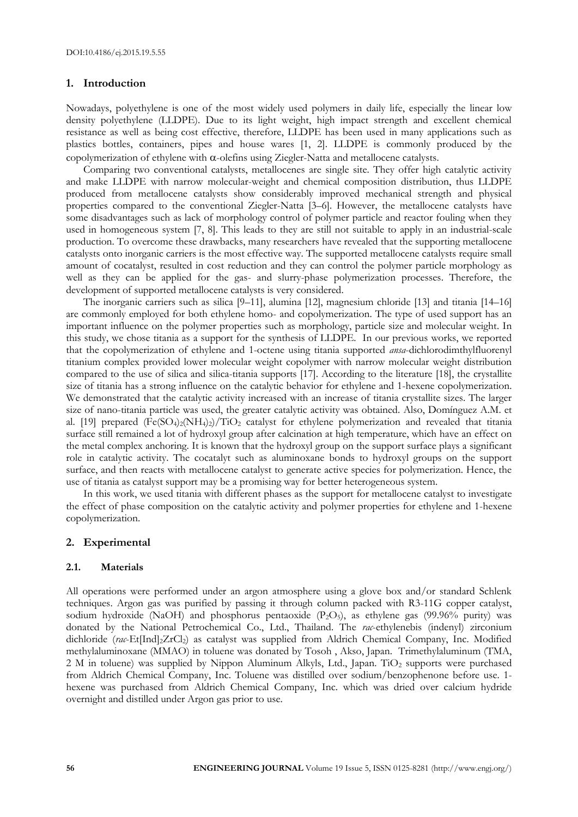#### **1. Introduction**

Nowadays, polyethylene is one of the most widely used polymers in daily life, especially the linear low density polyethylene (LLDPE). Due to its light weight, high impact strength and excellent chemical resistance as well as being cost effective, therefore, LLDPE has been used in many applications such as plastics bottles, containers, pipes and house wares [1, 2]. LLDPE is commonly produced by the copolymerization of ethylene with  $\alpha$ -olefins using Ziegler-Natta and metallocene catalysts.

Comparing two conventional catalysts, metallocenes are single site. They offer high catalytic activity and make LLDPE with narrow molecular-weight and chemical composition distribution, thus LLDPE produced from metallocene catalysts show considerably improved mechanical strength and physical properties compared to the conventional Ziegler-Natta [3–6]. However, the metallocene catalysts have some disadvantages such as lack of morphology control of polymer particle and reactor fouling when they used in homogeneous system [7, 8]. This leads to they are still not suitable to apply in an industrial-scale production. To overcome these drawbacks, many researchers have revealed that the supporting metallocene catalysts onto inorganic carriers is the most effective way. The supported metallocene catalysts require small amount of cocatalyst, resulted in cost reduction and they can control the polymer particle morphology as well as they can be applied for the gas- and slurry-phase polymerization processes. Therefore, the development of supported metallocene catalysts is very considered.

The inorganic carriers such as silica [9–11], alumina [12], magnesium chloride [13] and titania [14–16] are commonly employed for both ethylene homo- and copolymerization. The type of used support has an important influence on the polymer properties such as morphology, particle size and molecular weight. In this study, we chose titania as a support for the synthesis of LLDPE. In our previous works, we reported that the copolymerization of ethylene and 1-octene using titania supported *ansa*-dichlorodimthylfluorenyl titanium complex provided lower molecular weight copolymer with narrow molecular weight distribution compared to the use of silica and silica-titania supports [17]. According to the literature [18], the crystallite size of titania has a strong influence on the catalytic behavior for ethylene and 1-hexene copolymerization. We demonstrated that the catalytic activity increased with an increase of titania crystallite sizes. The larger size of nano-titania particle was used, the greater catalytic activity was obtained. Also, Domínguez A.M. et al. [19] prepared  $(Fe(SO_4)_2(NH_4)_2)/TiO_2$  catalyst for ethylene polymerization and revealed that titania surface still remained a lot of hydroxyl group after calcination at high temperature, which have an effect on the metal complex anchoring. It is known that the hydroxyl group on the support surface plays a significant role in catalytic activity. The cocatalyt such as aluminoxane bonds to hydroxyl groups on the support surface, and then reacts with metallocene catalyst to generate active species for polymerization. Hence, the use of titania as catalyst support may be a promising way for better heterogeneous system.

In this work, we used titania with different phases as the support for metallocene catalyst to investigate the effect of phase composition on the catalytic activity and polymer properties for ethylene and 1-hexene copolymerization.

#### **2. Experimental**

#### **2.1. Materials**

All operations were performed under an argon atmosphere using a glove box and/or standard Schlenk techniques. Argon gas was purified by passing it through column packed with R3-11G copper catalyst, sodium hydroxide (NaOH) and phosphorus pentaoxide  $(P_2O_5)$ , as ethylene gas (99.96% purity) was donated by the National Petrochemical Co., Ltd., Thailand. The *rac*-ethylenebis (indenyl) zirconium dichloride (*rac*-Et[Ind]2ZrCl2) as catalyst was supplied from Aldrich Chemical Company, Inc. Modified methylaluminoxane (MMAO) in toluene was donated by Tosoh , Akso, Japan. Trimethylaluminum (TMA, 2 M in toluene) was supplied by Nippon Aluminum Alkyls, Ltd., Japan.  $TiO<sub>2</sub>$  supports were purchased from Aldrich Chemical Company, Inc. Toluene was distilled over sodium/benzophenone before use. 1 hexene was purchased from Aldrich Chemical Company, Inc. which was dried over calcium hydride overnight and distilled under Argon gas prior to use.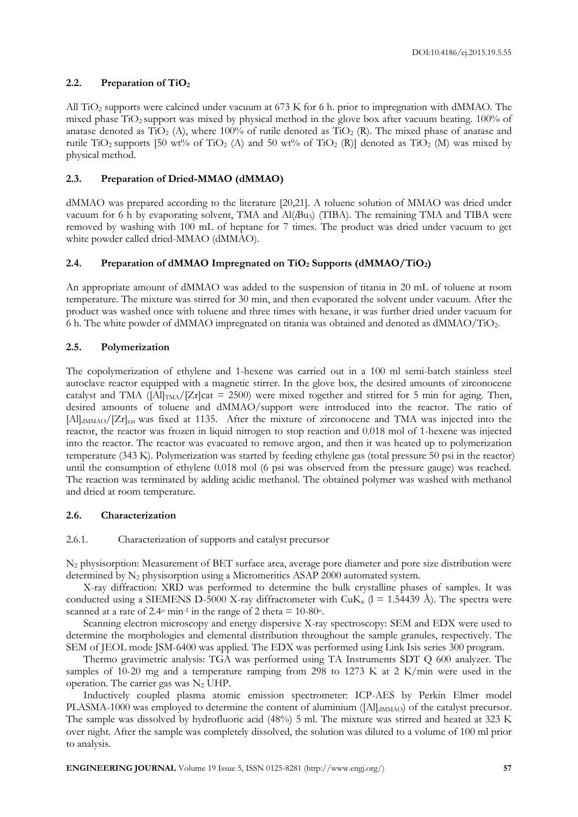# **2.2. Preparation of TiO<sup>2</sup>**

All TiO<sup>2</sup> supports were calcined under vacuum at 673 K for 6 h. prior to impregnation with dMMAO. The mixed phase TiO2 support was mixed by physical method in the glove box after vacuum heating. 100% of anatase denoted as  $TiO<sub>2</sub>$  (A), where 100% of rutile denoted as  $TiO<sub>2</sub>$  (R). The mixed phase of anatase and rutile TiO<sub>2</sub> supports [50 wt<sup>o</sup>/<sub>0</sub> of TiO<sub>2</sub> (A) and 50 wt<sup>o</sup>/<sub>0</sub> of TiO<sub>2</sub> (R)] denoted as TiO<sub>2</sub> (M) was mixed by physical method.

# **2.3. Preparation of Dried-MMAO (dMMAO)**

dMMAO was prepared according to the literature [20,21]. A toluene solution of MMAO was dried under vacuum for 6 h by evaporating solvent, TMA and Al(*i*Bu3) (TIBA). The remaining TMA and TIBA were removed by washing with 100 mL of heptane for 7 times. The product was dried under vacuum to get white powder called dried-MMAO (dMMAO).

## **2.4. Preparation of dMMAO Impregnated on TiO<sup>2</sup> Supports (dMMAO/TiO2)**

An appropriate amount of dMMAO was added to the suspension of titania in 20 mL of toluene at room temperature. The mixture was stirred for 30 min, and then evaporated the solvent under vacuum. After the product was washed once with toluene and three times with hexane, it was further dried under vacuum for 6 h. The white powder of dMMAO impregnated on titania was obtained and denoted as dMMAO/TiO2.

## **2.5. Polymerization**

The copolymerization of ethylene and 1-hexene was carried out in a 100 ml semi-batch stainless steel autoclave reactor equipped with a magnetic stirrer. In the glove box, the desired amounts of zirconocene catalyst and TMA ( $\text{[All]}_{\text{TMA}}$ / $\text{[Zr]}$ cat = 2500) were mixed together and stirred for 5 min for aging. Then, desired amounts of toluene and dMMAO/support were introduced into the reactor. The ratio of [Al]<sub>dMMAO</sub>/[Zr]<sub>cat</sub> was fixed at 1135. After the mixture of zirconocene and TMA was injected into the reactor, the reactor was frozen in liquid nitrogen to stop reaction and 0.018 mol of 1-hexene was injected into the reactor. The reactor was evacuated to remove argon, and then it was heated up to polymerization temperature (343 K). Polymerization was started by feeding ethylene gas (total pressure 50 psi in the reactor) until the consumption of ethylene 0.018 mol (6 psi was observed from the pressure gauge) was reached. The reaction was terminated by adding acidic methanol. The obtained polymer was washed with methanol and dried at room temperature.

## **2.6. Characterization**

## 2.6.1. Characterization of supports and catalyst precursor

N<sup>2</sup> physisorption: Measurement of BET surface area, average pore diameter and pore size distribution were determined by N<sub>2</sub> physisorption using a Micromeritics ASAP 2000 automated system.

X-ray diffraction: XRD was performed to determine the bulk crystalline phases of samples. It was conducted using a SIEMENS D-5000 X-ray diffractometer with  $CuK_{\alpha}$  ( $l = 1.54439$  Å). The spectra were scanned at a rate of 2.4 $\degree$  min<sup>-1</sup> in the range of 2 theta = 10-80 $\degree$ .

Scanning electron microscopy and energy dispersive X-ray spectroscopy: SEM and EDX were used to determine the morphologies and elemental distribution throughout the sample granules, respectively. The SEM of JEOL mode JSM-6400 was applied. The EDX was performed using Link Isis series 300 program.

Thermo gravimetric analysis: TGA was performed using TA Instruments SDT Q 600 analyzer. The samples of 10-20 mg and a temperature ramping from 298 to 1273 K at 2 K/min were used in the operation. The carrier gas was  $N_2$  UHP.

Inductively coupled plasma atomic emission spectrometer: ICP-AES by Perkin Elmer model PLASMA-1000 was employed to determine the content of aluminium ([Al]<sub>dMMAO</sub>) of the catalyst precursor. The sample was dissolved by hydrofluoric acid (48%) 5 ml. The mixture was stirred and heated at 323 K over night. After the sample was completely dissolved, the solution was diluted to a volume of 100 ml prior to analysis.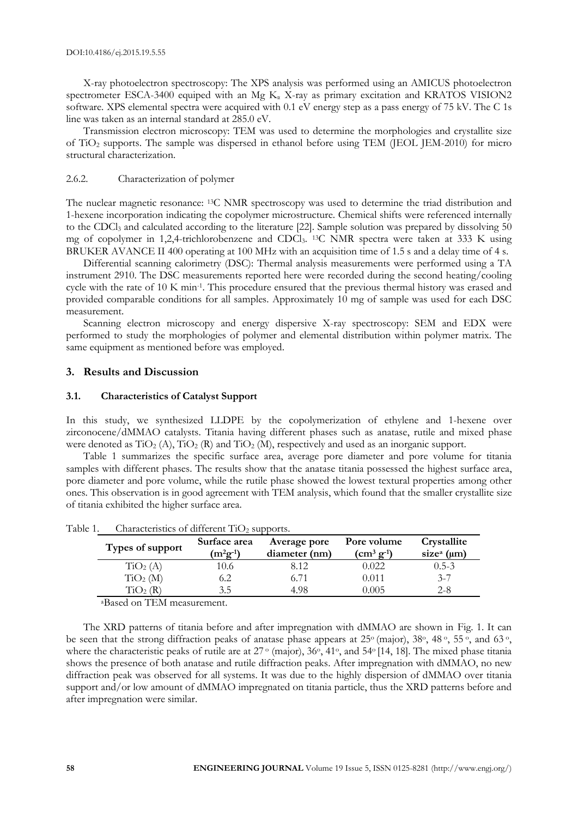X-ray photoelectron spectroscopy: The XPS analysis was performed using an AMICUS photoelectron spectrometer ESCA-3400 equiped with an Mg  $K_{\alpha}$  X-ray as primary excitation and KRATOS VISION2 software. XPS elemental spectra were acquired with 0.1 eV energy step as a pass energy of 75 kV. The C 1s line was taken as an internal standard at 285.0 eV.

Transmission electron microscopy: TEM was used to determine the morphologies and crystallite size of TiO<sup>2</sup> supports. The sample was dispersed in ethanol before using TEM (JEOL JEM-2010) for micro structural characterization.

#### 2.6.2. Characterization of polymer

The nuclear magnetic resonance: 13C NMR spectroscopy was used to determine the triad distribution and 1-hexene incorporation indicating the copolymer microstructure. Chemical shifts were referenced internally to the CDCl<sub>3</sub> and calculated according to the literature [22]. Sample solution was prepared by dissolving 50 mg of copolymer in 1,2,4-trichlorobenzene and CDCl<sub>3</sub>. <sup>13</sup>C NMR spectra were taken at 333 K using BRUKER AVANCE II 400 operating at 100 MHz with an acquisition time of 1.5 s and a delay time of 4 s.

Differential scanning calorimetry (DSC): Thermal analysis measurements were performed using a TA instrument 2910. The DSC measurements reported here were recorded during the second heating/cooling cycle with the rate of 10 K min<sup>-1</sup>. This procedure ensured that the previous thermal history was erased and provided comparable conditions for all samples. Approximately 10 mg of sample was used for each DSC measurement.

Scanning electron microscopy and energy dispersive X-ray spectroscopy: SEM and EDX were performed to study the morphologies of polymer and elemental distribution within polymer matrix. The same equipment as mentioned before was employed.

#### **3. Results and Discussion**

#### **3.1. Characteristics of Catalyst Support**

In this study, we synthesized LLDPE by the copolymerization of ethylene and 1-hexene over zirconocene/dMMAO catalysts. Titania having different phases such as anatase, rutile and mixed phase were denoted as  $TiO_2$  (A),  $TiO_2$  (R) and  $TiO_2$  (M), respectively and used as an inorganic support.

Table 1 summarizes the specific surface area, average pore diameter and pore volume for titania samples with different phases. The results show that the anatase titania possessed the highest surface area, pore diameter and pore volume, while the rutile phase showed the lowest textural properties among other ones. This observation is in good agreement with TEM analysis, which found that the smaller crystallite size of titania exhibited the higher surface area.

| Types of support     | Surface area<br>$(m^2g^{-1})$ | Average pore<br>diameter (nm) | Pore volume<br>$\rm (cm^3 \, g^{-1})$ | Crystallite<br>size <sup>a</sup> (µm) |  |
|----------------------|-------------------------------|-------------------------------|---------------------------------------|---------------------------------------|--|
| TiO <sub>2</sub> (A) | 10.6                          | 8.12                          | 0.022                                 | $0.5 - 3$                             |  |
| TiO <sub>2</sub> (M) | 6.2                           | 6.71                          | 0.011                                 | $3 - 7$                               |  |
| $\mathrm{TiO}_2$ (R) | 3.5                           | 4.98                          | 0.005                                 | $2 - 8$                               |  |

Table 1. Characteristics of different  $TiO<sub>2</sub>$  supports.

<sup>a</sup>Based on TEM measurement.

The XRD patterns of titania before and after impregnation with dMMAO are shown in Fig. 1. It can be seen that the strong diffraction peaks of anatase phase appears at  $25^{\circ}$  (major),  $38^{\circ}$ ,  $48^{\circ}$ ,  $55^{\circ}$ , and  $63^{\circ}$ , where the characteristic peaks of rutile are at  $27^{\circ}$  (major),  $36^{\circ}$ ,  $41^{\circ}$ , and  $54^{\circ}$  [14, 18]. The mixed phase titania shows the presence of both anatase and rutile diffraction peaks. After impregnation with dMMAO, no new diffraction peak was observed for all systems. It was due to the highly dispersion of dMMAO over titania support and/or low amount of dMMAO impregnated on titania particle, thus the XRD patterns before and after impregnation were similar.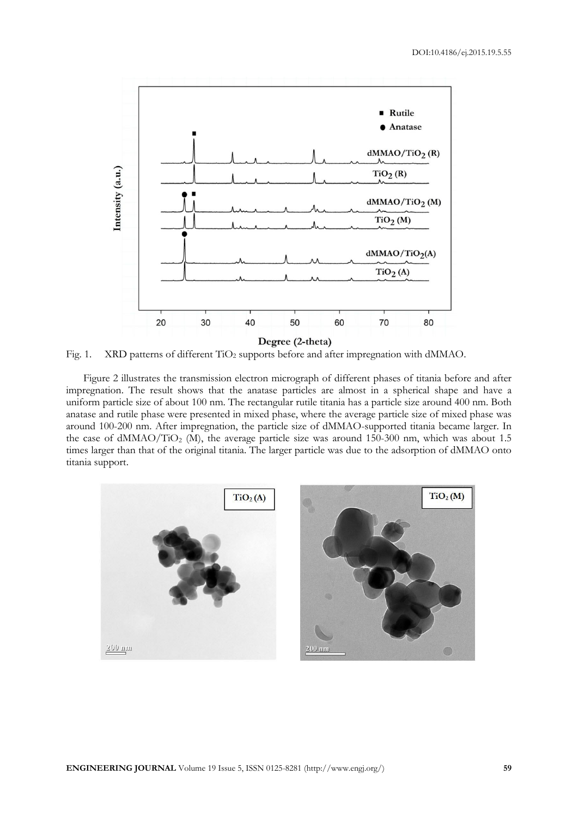

Fig. 1. XRD patterns of different TiO<sub>2</sub> supports before and after impregnation with dMMAO.

Figure 2 illustrates the transmission electron micrograph of different phases of titania before and after impregnation. The result shows that the anatase particles are almost in a spherical shape and have a uniform particle size of about 100 nm. The rectangular rutile titania has a particle size around 400 nm. Both anatase and rutile phase were presented in mixed phase, where the average particle size of mixed phase was around 100-200 nm. After impregnation, the particle size of dMMAO-supported titania became larger. In the case of  $dMMAO/TiO<sub>2</sub>$  (M), the average particle size was around 150-300 nm, which was about 1.5 times larger than that of the original titania. The larger particle was due to the adsorption of dMMAO onto titania support.

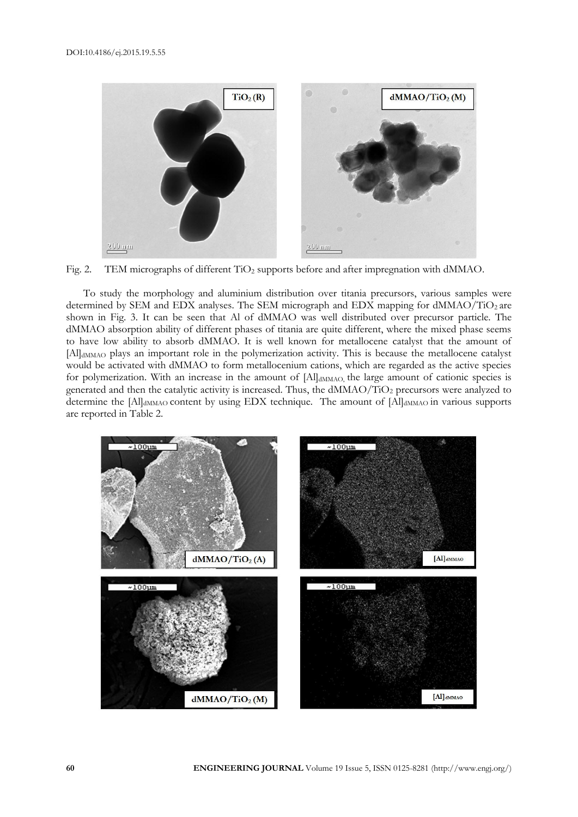

Fig. 2. TEM micrographs of different TiO<sub>2</sub> supports before and after impregnation with dMMAO.

To study the morphology and aluminium distribution over titania precursors, various samples were determined by SEM and EDX analyses. The SEM micrograph and EDX mapping for dMMAO/TiO2 are shown in Fig. 3. It can be seen that Al of dMMAO was well distributed over precursor particle. The dMMAO absorption ability of different phases of titania are quite different, where the mixed phase seems to have low ability to absorb dMMAO. It is well known for metallocene catalyst that the amount of [Al]<sub>dMMAO</sub> plays an important role in the polymerization activity. This is because the metallocene catalyst would be activated with dMMAO to form metallocenium cations, which are regarded as the active species for polymerization. With an increase in the amount of [Al]<sub>dMMAO</sub>, the large amount of cationic species is generated and then the catalytic activity is increased. Thus, the dMMAO/TiO<sub>2</sub> precursors were analyzed to determine the [Al]<sub>dMMAO</sub> content by using EDX technique. The amount of [Al]<sub>dMMAO</sub> in various supports are reported in Table 2.

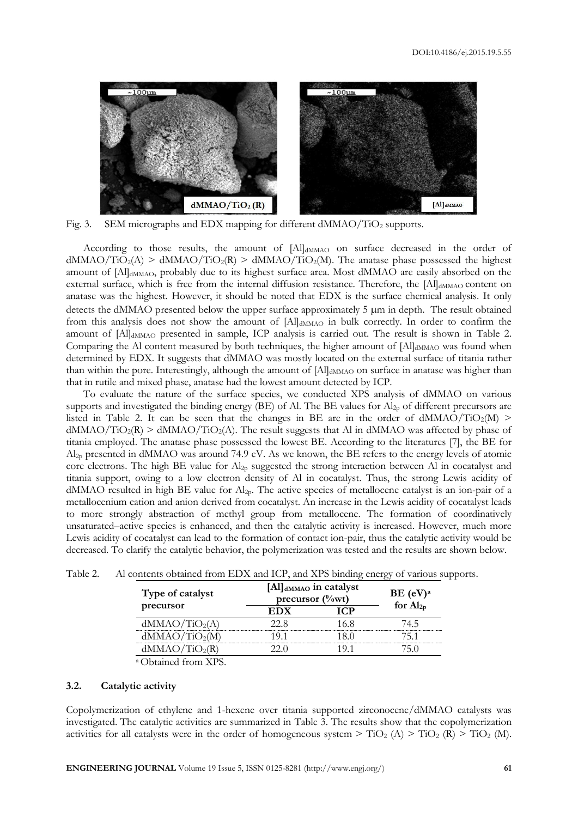

Fig. 3. SEM micrographs and EDX mapping for different dMMAO/TiO<sub>2</sub> supports.

According to those results, the amount of [Al]dMMAO on surface decreased in the order of  $dMMAO/TiO<sub>2</sub>(A) > dMMAO/TiO<sub>2</sub>(R) > dMMAO/TiO<sub>2</sub>(M)$ . The anatase phase possessed the highest amount of [Al]<sub>dMMAO</sub>, probably due to its highest surface area. Most dMMAO are easily absorbed on the external surface, which is free from the internal diffusion resistance. Therefore, the [Al]dMMAO content on anatase was the highest. However, it should be noted that EDX is the surface chemical analysis. It only detects the dMMAO presented below the upper surface approximately  $5 \mu m$  in depth. The result obtained from this analysis does not show the amount of [Al]dMMAO in bulk correctly. In order to confirm the amount of [Al]<sub>dMMAO</sub> presented in sample, ICP analysis is carried out. The result is shown in Table 2. Comparing the Al content measured by both techniques, the higher amount of  $[A]]_{dMMAO}$  was found when determined by EDX. It suggests that dMMAO was mostly located on the external surface of titania rather than within the pore. Interestingly, although the amount of  $[AI]$ <sub>dMMAO</sub> on surface in anatase was higher than that in rutile and mixed phase, anatase had the lowest amount detected by ICP.

To evaluate the nature of the surface species, we conducted XPS analysis of dMMAO on various supports and investigated the binding energy (BE) of Al. The BE values for Al<sub>2p</sub> of different precursors are listed in Table 2. It can be seen that the changes in BE are in the order of  $dMMAO/TiO<sub>2</sub>(M)$  >  $dMMAO/TiO<sub>2</sub>(R)$  >  $dMMAO/TiO<sub>2</sub>(A)$ . The result suggests that Al in  $dMMAO$  was affected by phase of titania employed. The anatase phase possessed the lowest BE. According to the literatures [7], the BE for  $Al<sub>2p</sub>$  presented in dMMAO was around 74.9 eV. As we known, the BE refers to the energy levels of atomic core electrons. The high BE value for Al<sub>2p</sub> suggested the strong interaction between Al in cocatalyst and titania support, owing to a low electron density of Al in cocatalyst. Thus, the strong Lewis acidity of dMMAO resulted in high BE value for Al2p. The active species of metallocene catalyst is an ion-pair of a metallocenium cation and anion derived from cocatalyst. An increase in the Lewis acidity of cocatalyst leads to more strongly abstraction of methyl group from metallocene. The formation of coordinatively unsaturated–active species is enhanced, and then the catalytic activity is increased. However, much more Lewis acidity of cocatalyst can lead to the formation of contact ion-pair, thus the catalytic activity would be decreased. To clarify the catalytic behavior, the polymerization was tested and the results are shown below.

|  | BE (eV) <sup>a</sup> |                                               |
|--|----------------------|-----------------------------------------------|
|  |                      | for $Al_{2p}$                                 |
|  | 16 X                 | 4 ካ                                           |
|  |                      |                                               |
|  |                      |                                               |
|  |                      | [Al] dMMAO in catalyst<br>precursor $(\%$ wt) |

| Table 2.<br>Al contents obtained from EDX and ICP, and XPS binding energy of various supports. |
|------------------------------------------------------------------------------------------------|
|------------------------------------------------------------------------------------------------|

<sup>a</sup>Obtained from XPS.

#### **3.2. Catalytic activity**

Copolymerization of ethylene and 1-hexene over titania supported zirconocene/dMMAO catalysts was investigated. The catalytic activities are summarized in Table 3. The results show that the copolymerization activities for all catalysts were in the order of homogeneous system  $>$  TiO<sub>2</sub> (A)  $>$  TiO<sub>2</sub> (R)  $>$  TiO<sub>2</sub> (M).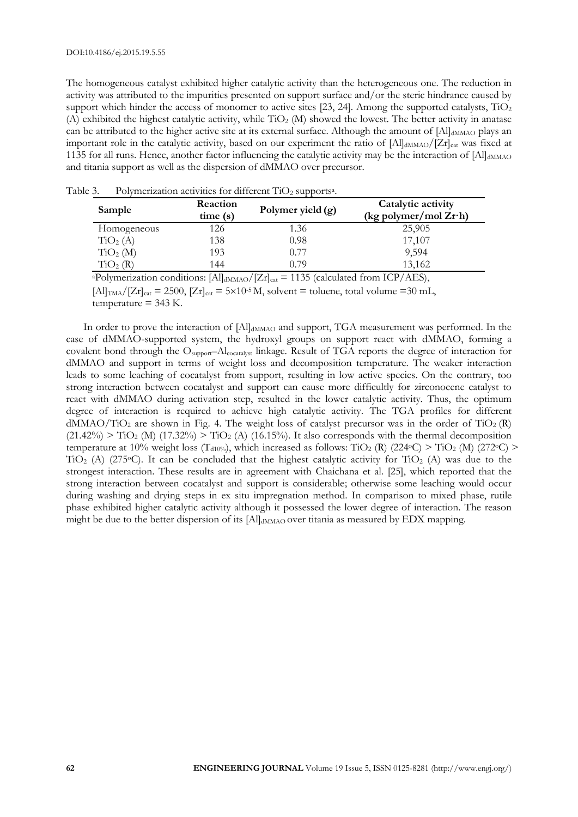The homogeneous catalyst exhibited higher catalytic activity than the heterogeneous one. The reduction in activity was attributed to the impurities presented on support surface and/or the steric hindrance caused by support which hinder the access of monomer to active sites  $[23, 24]$ . Among the supported catalysts, TiO<sub>2</sub> (A) exhibited the highest catalytic activity, while  $TiO<sub>2</sub>$  (M) showed the lowest. The better activity in anatase can be attributed to the higher active site at its external surface. Although the amount of [Al]<sub>dMMAO</sub> plays an important role in the catalytic activity, based on our experiment the ratio of [Al]<sub>dMMAO</sub>/[Zr]<sub>cat</sub> was fixed at 1135 for all runs. Hence, another factor influencing the catalytic activity may be the interaction of  $[A]$ <sub>dMMAO</sub> and titania support as well as the dispersion of dMMAO over precursor.

| Sample               | Reaction<br>time(s) | Polymer yield $(g)$ | Catalytic activity<br>(kg polymer/mol $Zr$ ·h) |  |  |
|----------------------|---------------------|---------------------|------------------------------------------------|--|--|
| Homogeneous          | 126                 | 1.36                | 25,905                                         |  |  |
| $\text{TiO}_2(A)$    | 138                 | 0.98                | 17,107                                         |  |  |
| TiO <sub>2</sub> (M) | 193                 | 0.77                | 9,594                                          |  |  |
| $\mathrm{TiO}_2$ (R) | 144                 | ი 79                | 13,162                                         |  |  |

Table 3. Polymerization activities for different  $TiO<sub>2</sub>$  supports<sup>a</sup>.

<sup>a</sup>Polymerization conditions: [Al]<sub>dMMAO</sub>/[Zr]<sub>cat</sub> = 1135 (calculated from ICP/AES),

 $\text{[Al]_{TMA}}/\text{[Zr]}_{\text{cat}} = 2500$ ,  $\text{[Zr]}_{\text{cat}} = 5 \times 10^{-5} \text{M}$ , solvent = toluene, total volume =30 mL,  $temperature = 343$  K.

In order to prove the interaction of [Al]<sub>dMMAO</sub> and support, TGA measurement was performed. In the case of dMMAO-supported system, the hydroxyl groups on support react with dMMAO, forming a covalent bond through the Osupport–Alcocatalyst linkage. Result of TGA reports the degree of interaction for dMMAO and support in terms of weight loss and decomposition temperature. The weaker interaction leads to some leaching of cocatalyst from support, resulting in low active species. On the contrary, too strong interaction between cocatalyst and support can cause more difficultly for zirconocene catalyst to react with dMMAO during activation step, resulted in the lower catalytic activity. Thus, the optimum degree of interaction is required to achieve high catalytic activity. The TGA profiles for different  $dMMAO/TiO<sub>2</sub>$  are shown in Fig. 4. The weight loss of catalyst precursor was in the order of  $TiO<sub>2</sub>(R)$  $(21.42\%)$  > TiO<sub>2</sub> (M)  $(17.32\%)$  > TiO<sub>2</sub> (A)  $(16.15\%)$ . It also corresponds with the thermal decomposition temperature at 10% weight loss (T<sub>d10%</sub>), which increased as follows: TiO<sub>2</sub> (R) (224<sup>o</sup>C) > TiO<sub>2</sub> (M) (272<sup>o</sup>C) > TiO<sub>2</sub> (A) (275<sup>o</sup>C). It can be concluded that the highest catalytic activity for TiO<sub>2</sub> (A) was due to the strongest interaction. These results are in agreement with Chaichana et al. [25], which reported that the strong interaction between cocatalyst and support is considerable; otherwise some leaching would occur during washing and drying steps in ex situ impregnation method. In comparison to mixed phase, rutile phase exhibited higher catalytic activity although it possessed the lower degree of interaction. The reason might be due to the better dispersion of its  $[A]$ <sub>dMMAO</sub> over titania as measured by EDX mapping.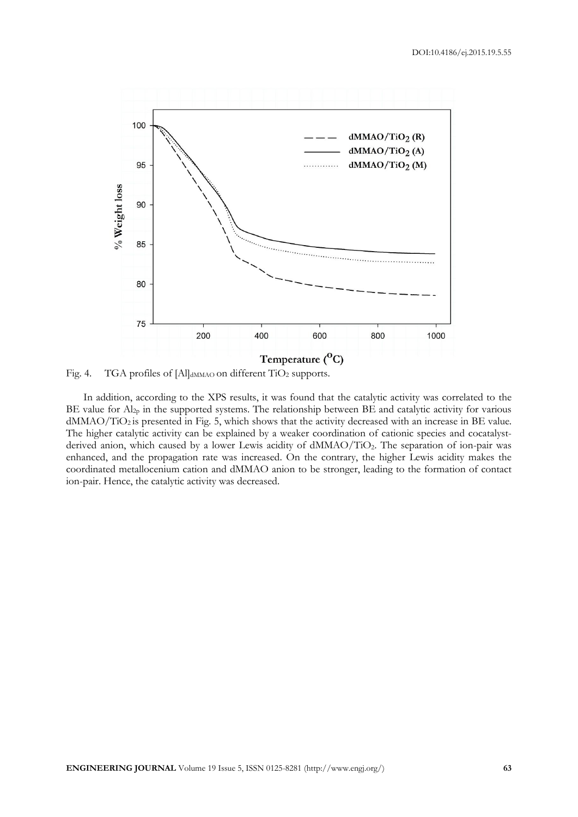

Fig. 4. TGA profiles of [Al]<sub>dMMAO</sub> on different TiO<sub>2</sub> supports.

In addition, according to the XPS results, it was found that the catalytic activity was correlated to the BE value for Al<sub>2p</sub> in the supported systems. The relationship between BE and catalytic activity for various dMMAO/TiO<sup>2</sup> is presented in Fig. 5, which shows that the activity decreased with an increase in BE value. The higher catalytic activity can be explained by a weaker coordination of cationic species and cocatalystderived anion, which caused by a lower Lewis acidity of dMMAO/TiO2. The separation of ion-pair was enhanced, and the propagation rate was increased. On the contrary, the higher Lewis acidity makes the coordinated metallocenium cation and dMMAO anion to be stronger, leading to the formation of contact ion-pair. Hence, the catalytic activity was decreased.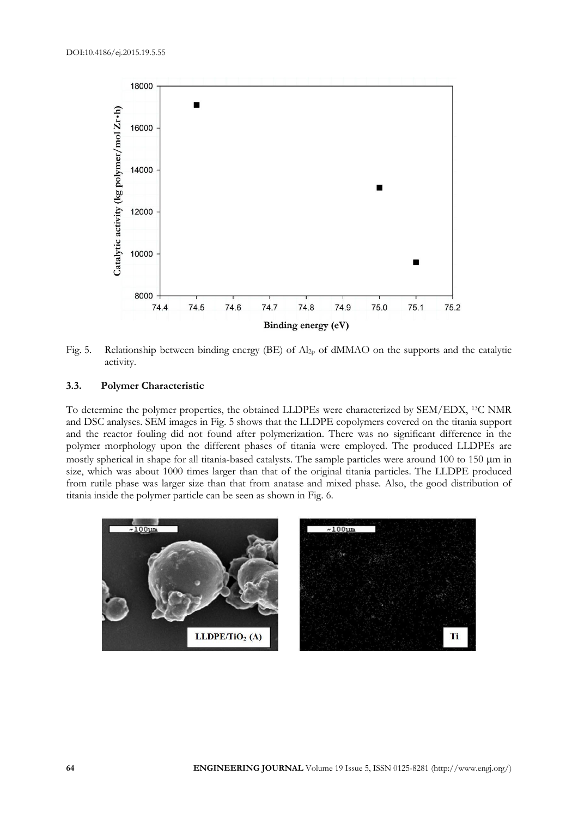

Fig. 5. Relationship between binding energy (BE) of Al<sub>2p</sub> of dMMAO on the supports and the catalytic activity.

#### **3.3. Polymer Characteristic**

To determine the polymer properties, the obtained LLDPEs were characterized by SEM/EDX, 13C NMR and DSC analyses. SEM images in Fig. 5 shows that the LLDPE copolymers covered on the titania support and the reactor fouling did not found after polymerization. There was no significant difference in the polymer morphology upon the different phases of titania were employed. The produced LLDPEs are mostly spherical in shape for all titania-based catalysts. The sample particles were around 100 to 150  $\mu$ m in size, which was about 1000 times larger than that of the original titania particles. The LLDPE produced from rutile phase was larger size than that from anatase and mixed phase. Also, the good distribution of titania inside the polymer particle can be seen as shown in Fig. 6.

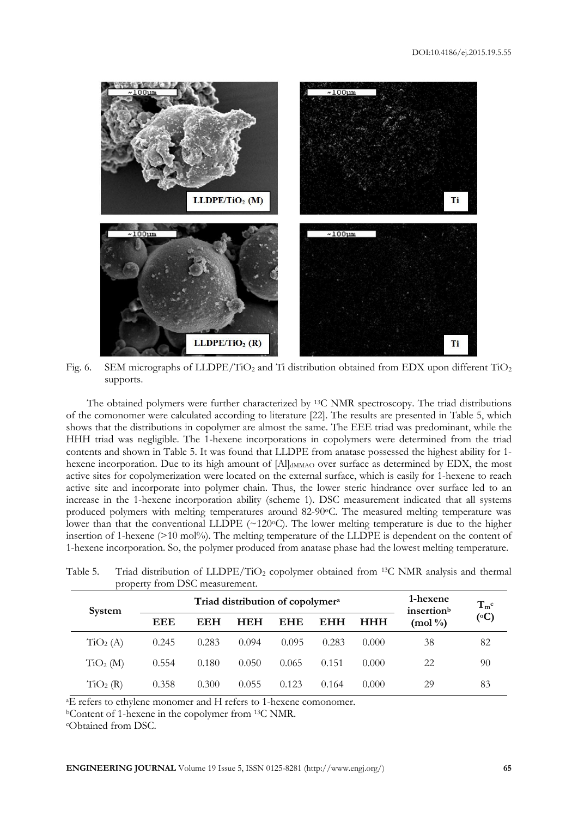

Fig. 6. SEM micrographs of LLDPE/TiO<sub>2</sub> and Ti distribution obtained from EDX upon different TiO<sub>2</sub> supports.

The obtained polymers were further characterized by 13C NMR spectroscopy. The triad distributions of the comonomer were calculated according to literature [22]. The results are presented in Table 5, which shows that the distributions in copolymer are almost the same. The EEE triad was predominant, while the HHH triad was negligible. The 1-hexene incorporations in copolymers were determined from the triad contents and shown in Table 5. It was found that LLDPE from anatase possessed the highest ability for 1 hexene incorporation. Due to its high amount of [Al]<sub>dMMAO</sub> over surface as determined by EDX, the most active sites for copolymerization were located on the external surface, which is easily for 1-hexene to reach active site and incorporate into polymer chain. Thus, the lower steric hindrance over surface led to an increase in the 1-hexene incorporation ability (scheme 1). DSC measurement indicated that all systems produced polymers with melting temperatures around 82-90°C. The measured melting temperature was lower than that the conventional LLDPE (~120°C). The lower melting temperature is due to the higher insertion of 1-hexene  $(>10 \text{ mol})\%$ ). The melting temperature of the LLDPE is dependent on the content of 1-hexene incorporation. So, the polymer produced from anatase phase had the lowest melting temperature.

|                      | ргорсни поні 1990 пісазинніши.               |            |            |            |            |                                    |                          |                 |
|----------------------|----------------------------------------------|------------|------------|------------|------------|------------------------------------|--------------------------|-----------------|
| System               | Triad distribution of copolymer <sup>a</sup> |            |            |            |            | 1-hexene<br>insertion <sup>b</sup> | $T_{m}^{c}$              |                 |
|                      | EEE                                          | <b>EEH</b> | <b>HEH</b> | <b>EHE</b> | <b>EHH</b> | <b>HHH</b>                         | $(mod \frac{\theta}{2})$ | $({}^{\circ}C)$ |
| TiO <sub>2</sub> (A) | 0.245                                        | 0.283      | 0.094      | 0.095      | 0.283      | 0.000                              | 38                       | 82              |
| TiO <sub>2</sub> (M) | 0.554                                        | 0.180      | 0.050      | 0.065      | 0.151      | 0.000                              | 22                       | 90              |
| TiO <sub>2</sub> (R) | 0.358                                        | 0.300      | 0.055      | 0.123      | 0.164      | 0.000                              | 29                       | 83              |

Table 5. Triad distribution of  $LLDPE/TiO<sub>2</sub>$  copolymer obtained from <sup>13</sup>C NMR analysis and thermal property from DSC measurement.

<sup>a</sup>E refers to ethylene monomer and H refers to 1-hexene comonomer.

<sup>b</sup>Content of 1-hexene in the copolymer from 13C NMR.

cObtained from DSC.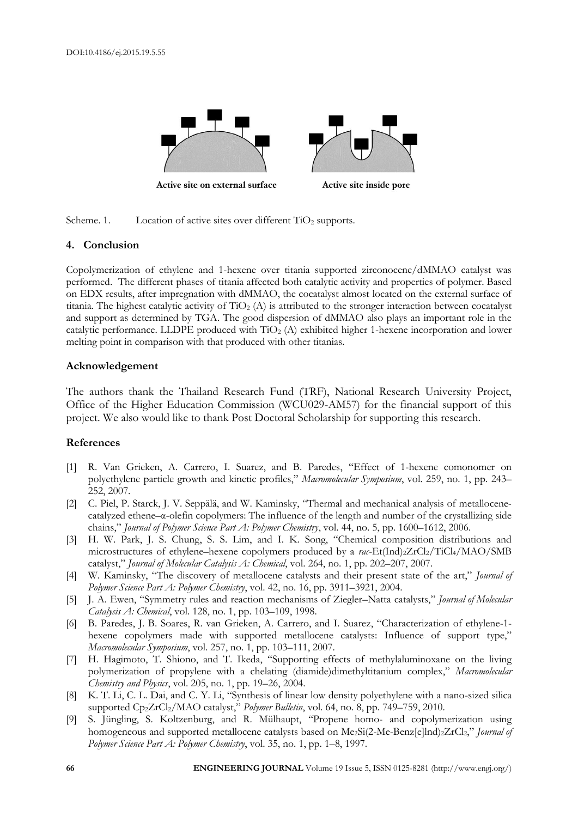

Scheme. 1. Location of active sites over different  $TiO<sub>2</sub>$  supports.

# **4. Conclusion**

Copolymerization of ethylene and 1-hexene over titania supported zirconocene/dMMAO catalyst was performed. The different phases of titania affected both catalytic activity and properties of polymer. Based on EDX results, after impregnation with dMMAO, the cocatalyst almost located on the external surface of titania. The highest catalytic activity of  $TiO<sub>2</sub>$  (A) is attributed to the stronger interaction between cocatalyst and support as determined by TGA. The good dispersion of dMMAO also plays an important role in the catalytic performance. LLDPE produced with TiO<sup>2</sup> (A) exhibited higher 1-hexene incorporation and lower melting point in comparison with that produced with other titanias.

## **Acknowledgement**

The authors thank the Thailand Research Fund (TRF), National Research University Project, Office of the Higher Education Commission (WCU029-AM57) for the financial support of this project. We also would like to thank Post Doctoral Scholarship for supporting this research.

## **References**

- [1] R. Van Grieken, A. Carrero, I. Suarez, and B. Paredes, "Effect of 1-hexene comonomer on polyethylene particle growth and kinetic profiles," *Macromolecular Symposium*, vol. 259, no. 1, pp. 243– 252, 2007.
- [2] C. Piel, P. Starck, J. V. Seppälä, and W. Kaminsky, "Thermal and mechanical analysis of metallocenecatalyzed ethene–α-olefin copolymers: The influence of the length and number of the crystallizing side chains," *Journal of Polymer Science Part A: Polymer Chemistry*, vol. 44, no. 5, pp. 1600–1612, 2006.
- [3] H. W. Park, J. S. Chung, S. S. Lim, and I. K. Song, "Chemical composition distributions and microstructures of ethylene–hexene copolymers produced by a rac-Et(Ind)<sub>2</sub>ZrCl<sub>2</sub>/TiCl<sub>4</sub>/MAO/SMB catalyst," *Journal of Molecular Catalysis A: Chemical*, vol. 264, no. 1, pp. 202–207, 2007.
- [4] W. Kaminsky, "The discovery of metallocene catalysts and their present state of the art," *Journal of Polymer Science Part A: Polymer Chemistry*, vol. 42, no. 16, pp. 3911–3921, 2004.
- [5] J. A. Ewen, "Symmetry rules and reaction mechanisms of Ziegler–Natta catalysts," *Journal of Molecular Catalysis A: Chemical*, vol. 128, no. 1, pp. 103–109, 1998.
- [6] B. Paredes, J. B. Soares, R. van Grieken, A. Carrero, and I. Suarez, "Characterization of ethylene-1 hexene copolymers made with supported metallocene catalysts: Influence of support type," *Macromolecular Symposium*, vol. 257, no. 1, pp. 103–111, 2007.
- [7] H. Hagimoto, T. Shiono, and T. Ikeda, "Supporting effects of methylaluminoxane on the living polymerization of propylene with a chelating (diamide)dimethyltitanium complex," *Macromolecular Chemistry and Physics*, vol. 205, no. 1, pp. 19–26, 2004.
- [8] K. T. Li, C. L. Dai, and C. Y. Li, "Synthesis of linear low density polyethylene with a nano-sized silica supported Cp2ZrCl2/MAO catalyst," *Polymer Bulletin*, vol. 64, no. 8, pp. 749–759, 2010.
- [9] S. Jüngling, S. Koltzenburg, and R. Mülhaupt, "Propene homo- and copolymerization using homogeneous and supported metallocene catalysts based on Me<sub>2</sub>Si(2-Me-Benz[e]lnd)<sub>2</sub>ZrCl<sub>2</sub>," *Journal of Polymer Science Part A: Polymer Chemistry*, vol. 35, no. 1, pp. 1–8, 1997.